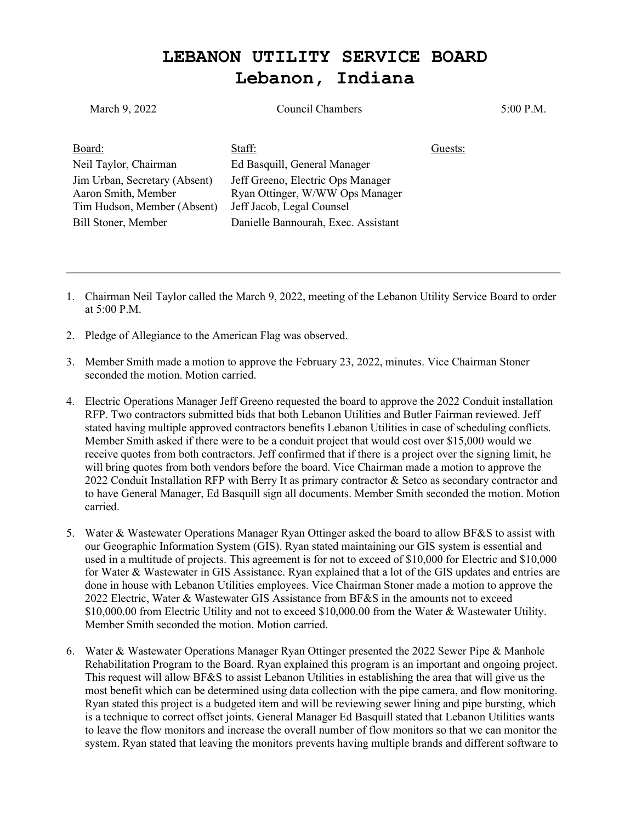## **LEBANON UTILITY SERVICE BOARD Lebanon, Indiana**

| March 9, 2022                                                                                              | Council Chambers                                                                                                                         | 5:00 P.M. |
|------------------------------------------------------------------------------------------------------------|------------------------------------------------------------------------------------------------------------------------------------------|-----------|
| Board:<br>Neil Taylor, Chairman                                                                            | Staff:<br>Ed Basquill, General Manager                                                                                                   | Guests:   |
| Jim Urban, Secretary (Absent)<br>Aaron Smith, Member<br>Tim Hudson, Member (Absent)<br>Bill Stoner, Member | Jeff Greeno, Electric Ops Manager<br>Ryan Ottinger, W/WW Ops Manager<br>Jeff Jacob, Legal Counsel<br>Danielle Bannourah, Exec. Assistant |           |
|                                                                                                            |                                                                                                                                          |           |

- 1. Chairman Neil Taylor called the March 9, 2022, meeting of the Lebanon Utility Service Board to order at 5:00 P.M.
- 2. Pledge of Allegiance to the American Flag was observed.
- 3. Member Smith made a motion to approve the February 23, 2022, minutes. Vice Chairman Stoner seconded the motion. Motion carried.
- 4. Electric Operations Manager Jeff Greeno requested the board to approve the 2022 Conduit installation RFP. Two contractors submitted bids that both Lebanon Utilities and Butler Fairman reviewed. Jeff stated having multiple approved contractors benefits Lebanon Utilities in case of scheduling conflicts. Member Smith asked if there were to be a conduit project that would cost over \$15,000 would we receive quotes from both contractors. Jeff confirmed that if there is a project over the signing limit, he will bring quotes from both vendors before the board. Vice Chairman made a motion to approve the 2022 Conduit Installation RFP with Berry It as primary contractor & Setco as secondary contractor and to have General Manager, Ed Basquill sign all documents. Member Smith seconded the motion. Motion carried.
- 5. Water & Wastewater Operations Manager Ryan Ottinger asked the board to allow BF&S to assist with our Geographic Information System (GIS). Ryan stated maintaining our GIS system is essential and used in a multitude of projects. This agreement is for not to exceed of \$10,000 for Electric and \$10,000 for Water & Wastewater in GIS Assistance. Ryan explained that a lot of the GIS updates and entries are done in house with Lebanon Utilities employees. Vice Chairman Stoner made a motion to approve the 2022 Electric, Water & Wastewater GIS Assistance from BF&S in the amounts not to exceed \$10,000.00 from Electric Utility and not to exceed \$10,000.00 from the Water & Wastewater Utility. Member Smith seconded the motion. Motion carried.
- 6. Water & Wastewater Operations Manager Ryan Ottinger presented the 2022 Sewer Pipe & Manhole Rehabilitation Program to the Board. Ryan explained this program is an important and ongoing project. This request will allow BF&S to assist Lebanon Utilities in establishing the area that will give us the most benefit which can be determined using data collection with the pipe camera, and flow monitoring. Ryan stated this project is a budgeted item and will be reviewing sewer lining and pipe bursting, which is a technique to correct offset joints. General Manager Ed Basquill stated that Lebanon Utilities wants to leave the flow monitors and increase the overall number of flow monitors so that we can monitor the system. Ryan stated that leaving the monitors prevents having multiple brands and different software to